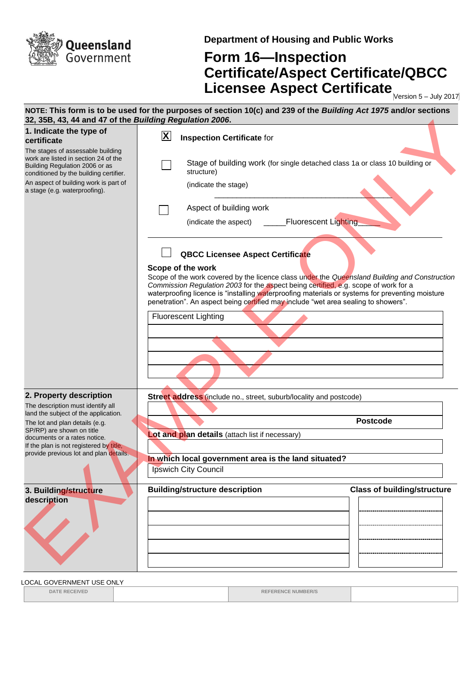

**Department of Housing and Public Works**

## **Form 16—Inspection Certificate/Aspect Certificate/QBCC Licensee Aspect Certificate** Mersion 5-July 2017

| 32, 35B, 43, 44 and 47 of the Building Regulation 2006.                                                                                               | NOTE: This form is to be used for the purposes of section 10(c) and 239 of the Building Act 1975 and/or sections                                                                                                                                                                                                                                                                                   |
|-------------------------------------------------------------------------------------------------------------------------------------------------------|----------------------------------------------------------------------------------------------------------------------------------------------------------------------------------------------------------------------------------------------------------------------------------------------------------------------------------------------------------------------------------------------------|
| 1. Indicate the type of<br>certificate                                                                                                                | $\mathbf{X}$<br><b>Inspection Certificate for</b>                                                                                                                                                                                                                                                                                                                                                  |
| The stages of assessable building<br>work are listed in section 24 of the<br>Building Regulation 2006 or as<br>conditioned by the building certifier. | Stage of building work (for single detached class 1a or class 10 building or<br>structure)                                                                                                                                                                                                                                                                                                         |
| An aspect of building work is part of<br>a stage (e.g. waterproofing).                                                                                | (indicate the stage)                                                                                                                                                                                                                                                                                                                                                                               |
|                                                                                                                                                       | Aspect of building work                                                                                                                                                                                                                                                                                                                                                                            |
|                                                                                                                                                       | <b>Fluorescent Lighting</b><br>(indicate the aspect)                                                                                                                                                                                                                                                                                                                                               |
|                                                                                                                                                       | <b>QBCC Licensee Aspect Certificate</b>                                                                                                                                                                                                                                                                                                                                                            |
|                                                                                                                                                       | Scope of the work<br>Scope of the work covered by the licence class under the Queensland Building and Construction<br>Commission Regulation 2003 for the aspect being certified, e.g. scope of work for a<br>waterproofing licence is "installing waterproofing materials or systems for preventing moisture<br>penetration". An aspect being certified may include "wet area sealing to showers". |
|                                                                                                                                                       | <b>Fluorescent Lighting</b>                                                                                                                                                                                                                                                                                                                                                                        |
|                                                                                                                                                       |                                                                                                                                                                                                                                                                                                                                                                                                    |
|                                                                                                                                                       |                                                                                                                                                                                                                                                                                                                                                                                                    |
|                                                                                                                                                       |                                                                                                                                                                                                                                                                                                                                                                                                    |
| 2. Property description                                                                                                                               | Street address (include no., street, suburb/locality and postcode)                                                                                                                                                                                                                                                                                                                                 |
| The description must identify all<br>land the subject of the application.                                                                             |                                                                                                                                                                                                                                                                                                                                                                                                    |
| The lot and plan details (e.g.<br>SP/RP) are shown on title                                                                                           | <b>Postcode</b>                                                                                                                                                                                                                                                                                                                                                                                    |
| documents or a rates notice.<br>If the plan is not registered by title,                                                                               | Lot and plan details (attach list if necessary)                                                                                                                                                                                                                                                                                                                                                    |
| provide previous lot and plan details.                                                                                                                | In which local government area is the land situated?                                                                                                                                                                                                                                                                                                                                               |
|                                                                                                                                                       | <b>Ipswich City Council</b>                                                                                                                                                                                                                                                                                                                                                                        |
| 3. Building/structure                                                                                                                                 | <b>Building/structure description</b><br><b>Class of building/structure</b>                                                                                                                                                                                                                                                                                                                        |
| description                                                                                                                                           |                                                                                                                                                                                                                                                                                                                                                                                                    |
|                                                                                                                                                       |                                                                                                                                                                                                                                                                                                                                                                                                    |
|                                                                                                                                                       |                                                                                                                                                                                                                                                                                                                                                                                                    |
|                                                                                                                                                       |                                                                                                                                                                                                                                                                                                                                                                                                    |
|                                                                                                                                                       |                                                                                                                                                                                                                                                                                                                                                                                                    |

LOCAL GOVERNMENT USE ONLY

**DATE RECEIVED REFERENCE NUMBER/S**